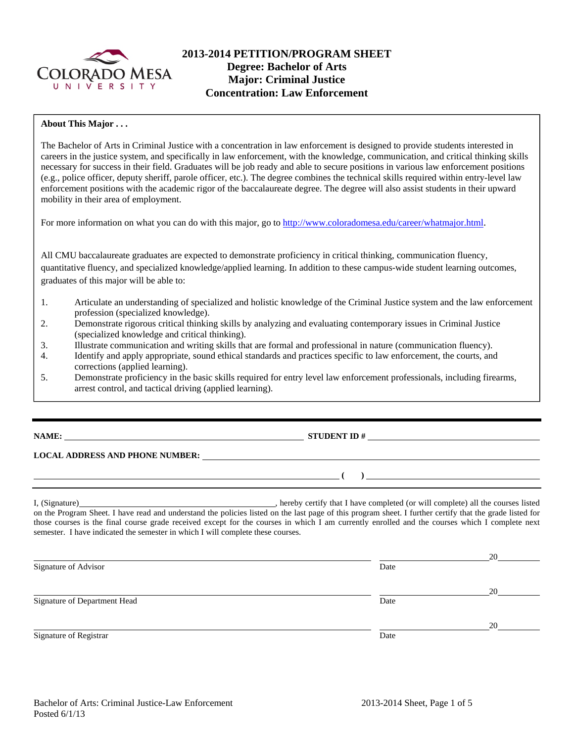

# **2013-2014 PETITION/PROGRAM SHEET Degree: Bachelor of Arts Major: Criminal Justice Concentration: Law Enforcement**

## **About This Major . . .**

The Bachelor of Arts in Criminal Justice with a concentration in law enforcement is designed to provide students interested in careers in the justice system, and specifically in law enforcement, with the knowledge, communication, and critical thinking skills necessary for success in their field. Graduates will be job ready and able to secure positions in various law enforcement positions (e.g., police officer, deputy sheriff, parole officer, etc.). The degree combines the technical skills required within entry-level law enforcement positions with the academic rigor of the baccalaureate degree. The degree will also assist students in their upward mobility in their area of employment.

For more information on what you can do with this major, go to http://www.coloradomesa.edu/career/whatmajor.html.

All CMU baccalaureate graduates are expected to demonstrate proficiency in critical thinking, communication fluency, quantitative fluency, and specialized knowledge/applied learning. In addition to these campus-wide student learning outcomes, graduates of this major will be able to:

- 1. Articulate an understanding of specialized and holistic knowledge of the Criminal Justice system and the law enforcement profession (specialized knowledge).
- 2. Demonstrate rigorous critical thinking skills by analyzing and evaluating contemporary issues in Criminal Justice (specialized knowledge and critical thinking).
- 3. Illustrate communication and writing skills that are formal and professional in nature (communication fluency).
- 4. Identify and apply appropriate, sound ethical standards and practices specific to law enforcement, the courts, and corrections (applied learning).
- 5. Demonstrate proficiency in the basic skills required for entry level law enforcement professionals, including firearms, arrest control, and tactical driving (applied learning).

# **NAME: STUDENT ID #**

# **LOCAL ADDRESS AND PHONE NUMBER:**

I, (Signature) , hereby certify that I have completed (or will complete) all the courses listed on the Program Sheet. I have read and understand the policies listed on the last page of this program sheet. I further certify that the grade listed for those courses is the final course grade received except for the courses in which I am currently enrolled and the courses which I complete next semester. I have indicated the semester in which I will complete these courses.

|                              |      | 20 |
|------------------------------|------|----|
| Signature of Advisor         | Date |    |
|                              |      | 20 |
| Signature of Department Head | Date |    |
|                              |      | 20 |
| Signature of Registrar       | Date |    |

 **( )**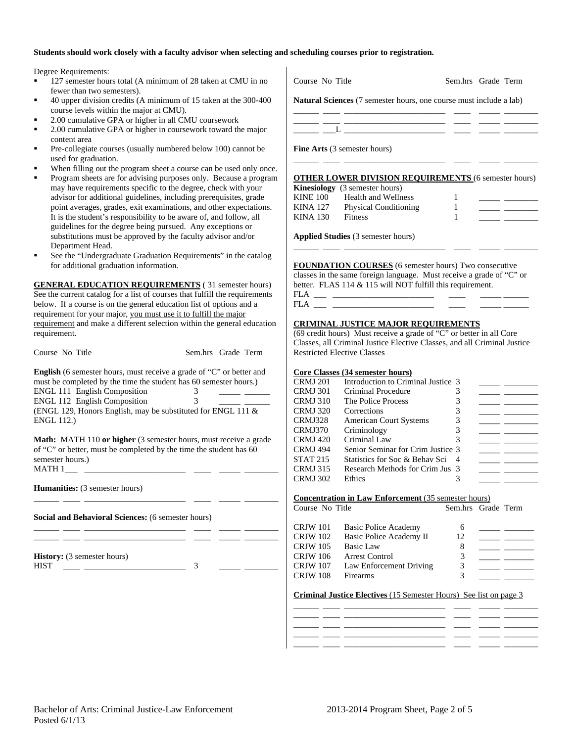### **Students should work closely with a faculty advisor when selecting and scheduling courses prior to registration.**

Degree Requirements:

- <sup>127</sup> semester hours total (A minimum of 28 taken at CMU in no fewer than two semesters).
- 40 upper division credits (A minimum of 15 taken at the 300-400 course levels within the major at CMU).
- 2.00 cumulative GPA or higher in all CMU coursework
- 2.00 cumulative GPA or higher in coursework toward the major content area
- Pre-collegiate courses (usually numbered below 100) cannot be used for graduation.
- When filling out the program sheet a course can be used only once.
- Program sheets are for advising purposes only. Because a program may have requirements specific to the degree, check with your advisor for additional guidelines, including prerequisites, grade point averages, grades, exit examinations, and other expectations. It is the student's responsibility to be aware of, and follow, all guidelines for the degree being pursued. Any exceptions or substitutions must be approved by the faculty advisor and/or Department Head.
- See the "Undergraduate Graduation Requirements" in the catalog for additional graduation information.

**GENERAL EDUCATION REQUIREMENTS** ( 31 semester hours) See the current catalog for a list of courses that fulfill the requirements below. If a course is on the general education list of options and a requirement for your major, you must use it to fulfill the major requirement and make a different selection within the general education requirement.

| Course No Title                                                                                                                                  | Sem.hrs Grade Term |
|--------------------------------------------------------------------------------------------------------------------------------------------------|--------------------|
| <b>English</b> (6 semester hours, must receive a grade of "C" or better and<br>must be completed by the time the student has 60 semester hours.) |                    |
| <b>ENGL 111 English Composition</b>                                                                                                              |                    |
| <b>ENGL 112 English Composition</b>                                                                                                              | 2                  |
| $\sqrt{N}$ $\sqrt{N}$ $\sqrt{N}$ $\sqrt{N}$ $\sqrt{N}$ $\sqrt{N}$ $\sqrt{N}$ $\sqrt{N}$ $\sqrt{N}$                                               | 1.1.10             |

(ENGL 129, Honors English, may be substituted for ENGL 111 & ENGL 112.)

**Math:** MATH 110 or higher (3 semester hours, must receive a grade of "C" or better, must be completed by the time the student has 60 semester hours.)  $MATH 1$  \_\_\_\_\_\_

\_\_\_\_\_\_ \_\_\_\_ \_\_\_\_\_\_\_\_\_\_\_\_\_\_\_\_\_\_\_\_\_\_\_\_ \_\_\_\_ \_\_\_\_\_ \_\_\_\_\_\_\_\_

\_\_\_\_\_\_ \_\_\_\_ \_\_\_\_\_\_\_\_\_\_\_\_\_\_\_\_\_\_\_\_\_\_\_\_ \_\_\_\_ \_\_\_\_\_ \_\_\_\_\_\_\_\_ \_\_\_\_\_\_ \_\_\_\_ \_\_\_\_\_\_\_\_\_\_\_\_\_\_\_\_\_\_\_\_\_\_\_\_ \_\_\_\_ \_\_\_\_\_ \_\_\_\_\_\_\_\_

**Humanities:** (3 semester hours)

**Social and Behavioral Sciences:** (6 semester hours)

**History:** (3 semester hours)  $HIST$  3

| Course No Title                     | Sem.hrs Grade Term                                                        |
|-------------------------------------|---------------------------------------------------------------------------|
|                                     | <b>Natural Sciences</b> (7 semester hours, one course must include a lab) |
|                                     |                                                                           |
| <b>Fine Arts</b> (3 semester hours) |                                                                           |

### **OTHER LOWER DIVISION REQUIREMENTS** (6 semester hours)

\_\_\_\_\_\_ \_\_\_\_ \_\_\_\_\_\_\_\_\_\_\_\_\_\_\_\_\_\_\_\_\_\_\_\_ \_\_\_\_ \_\_\_\_\_ \_\_\_\_\_\_\_\_

|          | <b>Kinesiology</b> (3 semester hours) |  |
|----------|---------------------------------------|--|
| KINE 100 | <b>Health and Wellness</b>            |  |
| KINA 127 | <b>Physical Conditioning</b>          |  |
| KINA 130 | <b>Fitness</b>                        |  |
|          |                                       |  |

\_\_\_\_\_\_ \_\_\_\_ \_\_\_\_\_\_\_\_\_\_\_\_\_\_\_\_\_\_\_\_\_\_\_\_ \_\_\_\_ \_\_\_\_\_ \_\_\_\_\_\_\_\_

**Applied Studies** (3 semester hours)

**FOUNDATION COURSES** (6 semester hours) Two consecutive classes in the same foreign language. Must receive a grade of "C" or better. FLAS 114 & 115 will NOT fulfill this requirement.

| __ |  |  |
|----|--|--|
|    |  |  |

### **CRIMINAL JUSTICE MAJOR REQUIREMENTS**

(69 credit hours) Must receive a grade of "C" or better in all Core Classes, all Criminal Justice Elective Classes, and all Criminal Justice Restricted Elective Classes

#### **Core Classes (34 semester hours)**

| <b>CRMJ 201</b> | Introduction to Criminal Justice 3 |   |  |
|-----------------|------------------------------------|---|--|
| <b>CRMJ 301</b> | Criminal Procedure                 |   |  |
| <b>CRMJ 310</b> | The Police Process                 |   |  |
| <b>CRMJ 320</b> | Corrections                        | 3 |  |
| CRMJ328         | <b>American Court Systems</b>      |   |  |
| CRMJ370         | Criminology                        |   |  |
| <b>CRMJ</b> 420 | Criminal Law                       | 3 |  |
| CRMJ 494        | Senior Seminar for Crim Justice 3  |   |  |
| <b>STAT 215</b> | Statistics for Soc & Behav Sci     |   |  |
| <b>CRMJ 315</b> | Research Methods for Crim Jus 3    |   |  |
| <b>CRMJ 302</b> | Ethics                             |   |  |

**Concentration in Law Enforcement** (35 semester hours) **Course No Title Sem hrs Grade Term** 

| Course Two Thue |                         | benhins Grauc Tenn |  |
|-----------------|-------------------------|--------------------|--|
| CRJW 101        | Basic Police Academy    | 6                  |  |
| CRJW 102        | Basic Police Academy II | 12                 |  |
| CRJW 105        | Basic Law               | 8                  |  |
| CRJW 106        | Arrest Control          | 3                  |  |
| CRJW 107        | Law Enforcement Driving | 3                  |  |
| CRJW 108        | Firearms                | 3                  |  |

#### **Criminal Justice Electives** (15 Semester Hours) See list on page 3

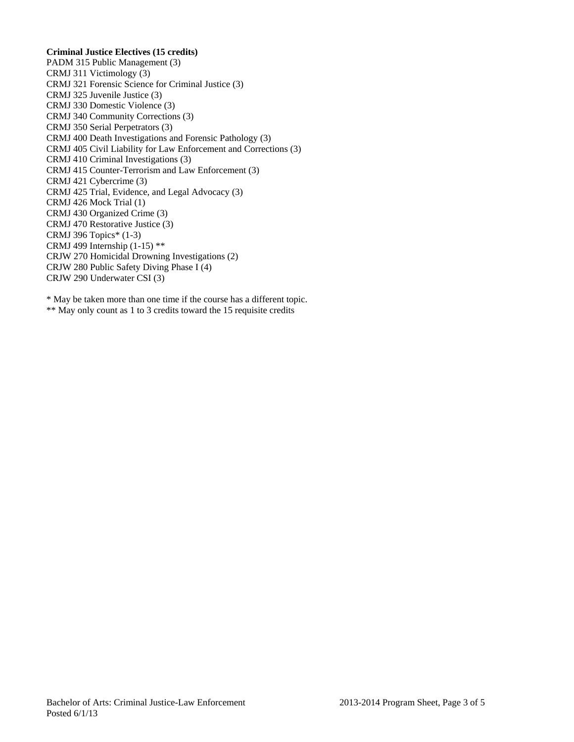## **Criminal Justice Electives (15 credits)**

PADM 315 Public Management (3) CRMJ 311 Victimology (3) CRMJ 321 Forensic Science for Criminal Justice (3) CRMJ 325 Juvenile Justice (3) CRMJ 330 Domestic Violence (3) CRMJ 340 Community Corrections (3) CRMJ 350 Serial Perpetrators (3) CRMJ 400 Death Investigations and Forensic Pathology (3) CRMJ 405 Civil Liability for Law Enforcement and Corrections (3) CRMJ 410 Criminal Investigations (3) CRMJ 415 Counter-Terrorism and Law Enforcement (3) CRMJ 421 Cybercrime (3) CRMJ 425 Trial, Evidence, and Legal Advocacy (3) CRMJ 426 Mock Trial (1) CRMJ 430 Organized Crime (3) CRMJ 470 Restorative Justice (3) CRMJ 396 Topics\* (1-3) CRMJ 499 Internship (1-15) \*\* CRJW 270 Homicidal Drowning Investigations (2) CRJW 280 Public Safety Diving Phase I (4) CRJW 290 Underwater CSI (3)

\* May be taken more than one time if the course has a different topic. \*\* May only count as 1 to 3 credits toward the 15 requisite credits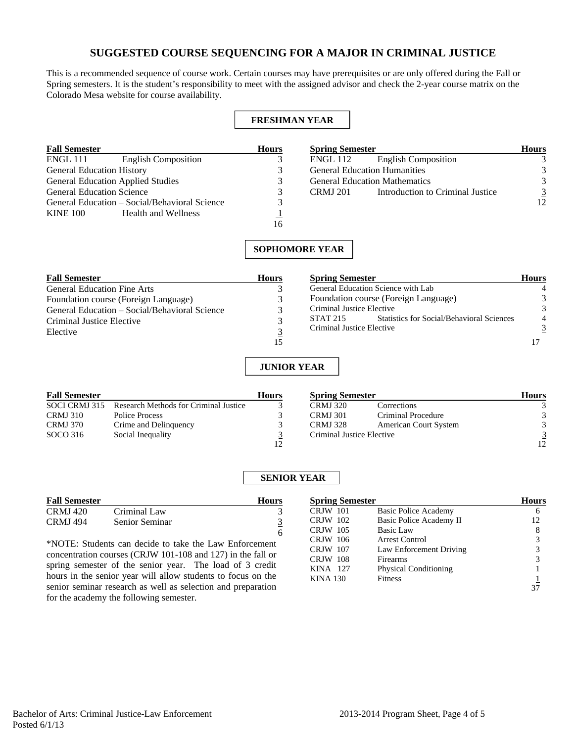# **SUGGESTED COURSE SEQUENCING FOR A MAJOR IN CRIMINAL JUSTICE**

This is a recommended sequence of course work. Certain courses may have prerequisites or are only offered during the Fall or Spring semesters. It is the student's responsibility to meet with the assigned advisor and check the 2-year course matrix on the Colorado Mesa website for course availability.

### **FRESHMAN YEAR**

| <b>Fall Semester</b>             |                                               | <b>Hours</b> |
|----------------------------------|-----------------------------------------------|--------------|
| ENGL 111                         | <b>English Composition</b>                    |              |
| <b>General Education History</b> |                                               |              |
|                                  | <b>General Education Applied Studies</b>      |              |
| <b>General Education Science</b> |                                               |              |
|                                  | General Education – Social/Behavioral Science |              |
| <b>KINE 100</b>                  | <b>Health and Wellness</b>                    |              |
|                                  |                                               |              |

| <b>Spring Semester</b> |                                      | <b>Hours</b> |
|------------------------|--------------------------------------|--------------|
| <b>ENGL 112</b>        | <b>English Composition</b>           |              |
|                        | <b>General Education Humanities</b>  |              |
|                        | <b>General Education Mathematics</b> |              |
| <b>CRMI</b> 201        | Introduction to Criminal Justice     |              |
|                        |                                      |              |

## **SOPHOMORE YEAR**

| <b>Fall Semester</b>                          | <b>Hours</b> | <b>Spring Semester</b>                                       | <b>Hours</b> |
|-----------------------------------------------|--------------|--------------------------------------------------------------|--------------|
| <b>General Education Fine Arts</b>            |              | General Education Science with Lab                           |              |
| Foundation course (Foreign Language)          |              | Foundation course (Foreign Language)                         |              |
| General Education – Social/Behavioral Science |              | Criminal Justice Elective                                    | 3            |
| Criminal Justice Elective                     |              | <b>Statistics for Social/Behavioral Sciences</b><br>STAT 215 | 4            |
| Elective                                      |              | Criminal Justice Elective                                    |              |
|                                               |              |                                                              |              |

### **JUNIOR YEAR**

| <b>Fall Semester</b> |                                                     | <b>Hours</b>  |
|----------------------|-----------------------------------------------------|---------------|
|                      | SOCI CRMJ 315 Research Methods for Criminal Justice |               |
| <b>CRMJ 310</b>      | Police Process                                      | 3             |
| <b>CRMJ 370</b>      | Crime and Delinquency                               | $\mathcal{R}$ |
| SOCO 316             | Social Inequality                                   | 3             |
|                      |                                                     | $12^{\circ}$  |

| <b>Spring Semester</b>    |                              | Hours |
|---------------------------|------------------------------|-------|
| <b>CRMJ 320</b>           | Corrections                  |       |
| <b>CRMJ 301</b>           | Criminal Procedure           |       |
| <b>CRMJ</b> 328           | <b>American Court System</b> |       |
| Criminal Justice Elective |                              |       |
|                           |                              |       |

## **SENIOR YEAR**

|                 | <b>Fall Semester</b> |  |
|-----------------|----------------------|--|
| CRMJ 420        | Criminal Law         |  |
| <b>CRMJ</b> 494 | Senior Seminar       |  |
|                 |                      |  |

\*NOTE: Students can decide to take the Law Enforcement concentration courses (CRJW 101-108 and 127) in the fall or spring semester of the senior year. The load of 3 credit hours in the senior year will allow students to focus on the senior seminar research as well as selection and preparation for the academy the following semester.

| <b>Spring Semester</b> |                              | <b>Hours</b> |
|------------------------|------------------------------|--------------|
| <b>CRJW</b> 101        | Basic Police Academy         | 6            |
| <b>CRJW</b> 102        | Basic Police Academy II      | 12           |
| <b>CRJW</b> 105        | Basic Law                    | 8            |
| CRJW 106               | Arrest Control               | 3            |
| <b>CRJW</b> 107        | Law Enforcement Driving      | 3            |
| <b>CRJW</b> 108        | Firearms                     | 3            |
| KINA 127               | <b>Physical Conditioning</b> |              |
| <b>KINA 130</b>        | Fitness                      |              |
|                        |                              |              |